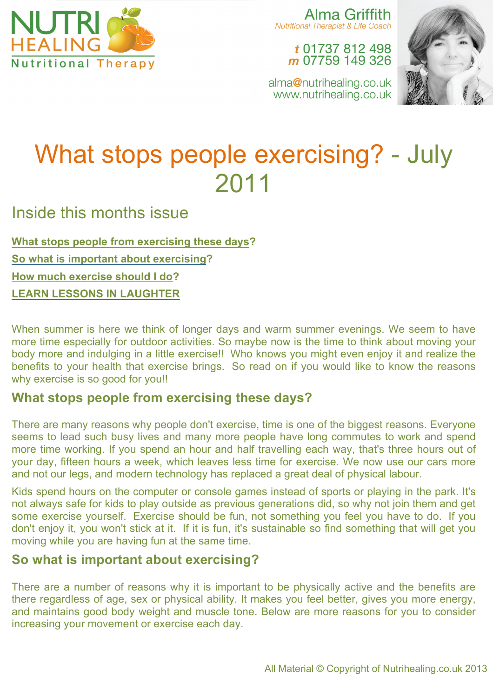

Alma Griffith **Nutritional Therapist & Life Coach** 

> t 01737 812 498 m 07759 149 326



alma@nutrihealing.co.uk www.nutrihealing.co.uk

# What stops people exercising? - July 2011

Inside this months issue

**What stops people from exercising these days? So what is important about exercising? How much exercise should I do? LEARN LESSONS IN LAUGHTER**

When summer is here we think of longer days and warm summer evenings. We seem to have more time especially for outdoor activities. So maybe now is the time to think about moving your body more and indulging in a little exercise!! Who knows you might even enjoy it and realize the benefits to your health that exercise brings. So read on if you would like to know the reasons why exercise is so good for you!!

### **What stops people from exercising these days?**

There are many reasons why people don't exercise, time is one of the biggest reasons. Everyone seems to lead such busy lives and many more people have long commutes to work and spend more time working. If you spend an hour and half travelling each way, that's three hours out of your day, fifteen hours a week, which leaves less time for exercise. We now use our cars more and not our legs, and modern technology has replaced a great deal of physical labour.

Kids spend hours on the computer or console games instead of sports or playing in the park. It's not always safe for kids to play outside as previous generations did, so why not join them and get some exercise yourself. Exercise should be fun, not something you feel you have to do. If you don't enjoy it, you won't stick at it. If it is fun, it's sustainable so find something that will get you moving while you are having fun at the same time.

# **So what is important about exercising?**

There are a number of reasons why it is important to be physically active and the benefits are there regardless of age, sex or physical ability. It makes you feel better, gives you more energy, and maintains good body weight and muscle tone. Below are more reasons for you to consider increasing your movement or exercise each day.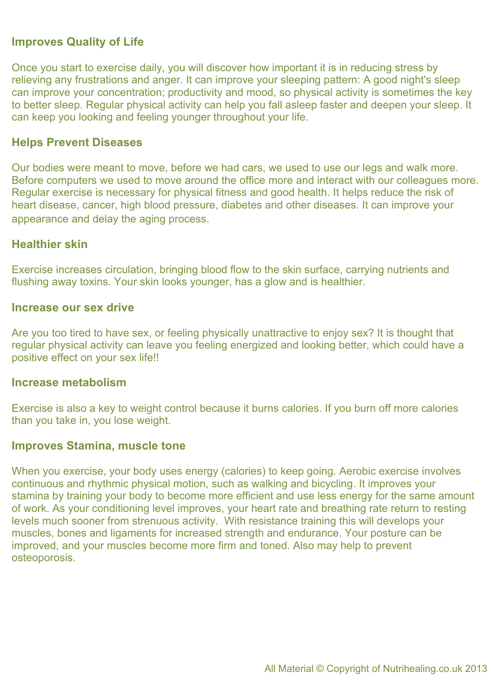#### **Improves Quality of Life**

Once you start to exercise daily, you will discover how important it is in reducing stress by relieving any frustrations and anger. It can improve your sleeping pattern: A good night's sleep can improve your concentration; productivity and mood, so physical activity is sometimes the key to better sleep. Regular physical activity can help you fall asleep faster and deepen your sleep. It can keep you looking and feeling younger throughout your life.

#### **Helps Prevent Diseases**

Our bodies were meant to move, before we had cars, we used to use our legs and walk more. Before computers we used to move around the office more and interact with our colleagues more. Regular exercise is necessary for physical fitness and good health. It helps reduce the risk of heart disease, cancer, high blood pressure, diabetes and other diseases. It can improve your appearance and delay the aging process.

#### **Healthier skin**

Exercise increases circulation, bringing blood flow to the skin surface, carrying nutrients and flushing away toxins. Your skin looks younger, has a glow and is healthier.

#### **Increase our sex drive**

Are you too tired to have sex, or feeling physically unattractive to enjoy sex? It is thought that regular physical activity can leave you feeling energized and looking better, which could have a positive effect on your sex life!!

#### **Increase metabolism**

Exercise is also a key to weight control because it burns calories. If you burn off more calories than you take in, you lose weight.

#### **Improves Stamina, muscle tone**

When you exercise, your body uses energy (calories) to keep going. Aerobic exercise involves continuous and rhythmic physical motion, such as walking and bicycling. It improves your stamina by training your body to become more efficient and use less energy for the same amount of work. As your conditioning level improves, your heart rate and breathing rate return to resting levels much sooner from strenuous activity. With resistance training this will develops your muscles, bones and ligaments for increased strength and endurance. Your posture can be improved, and your muscles become more firm and toned. Also may help to prevent osteoporosis.